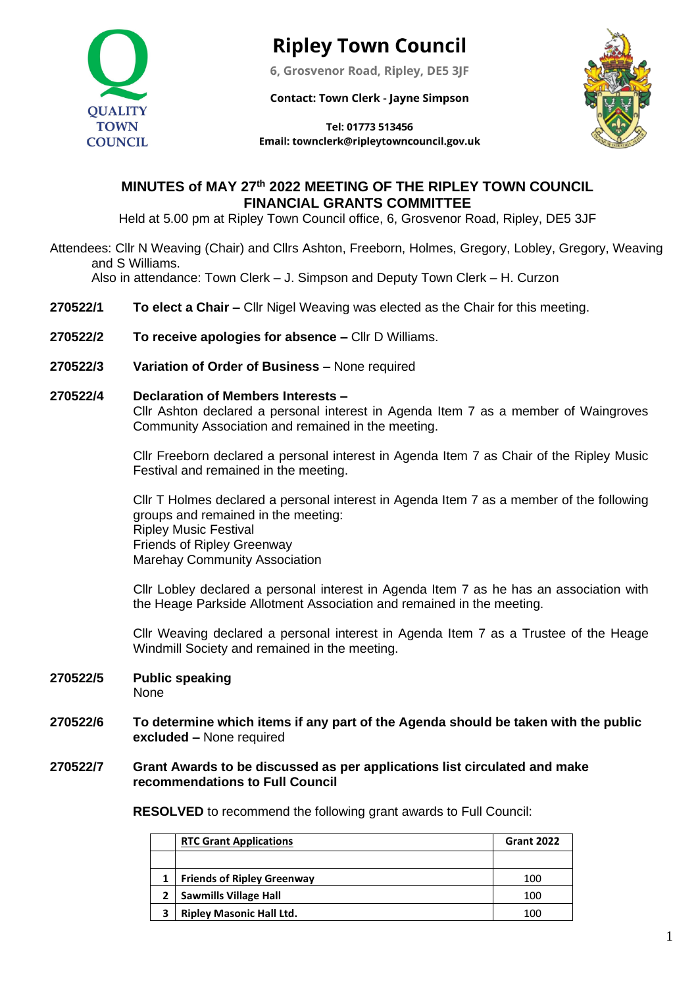

# **Ripley Town Council**

6, Grosvenor Road, Ripley, DE5 3JF

**Contact: Town Clerk - Jayne Simpson** 



Tel: 01773 513456 Email: townclerk@ripleytowncouncil.gov.uk

## **MINUTES of MAY 27 th 2022 MEETING OF THE RIPLEY TOWN COUNCIL FINANCIAL GRANTS COMMITTEE**

Held at 5.00 pm at Ripley Town Council office, 6, Grosvenor Road, Ripley, DE5 3JF

Attendees: Cllr N Weaving (Chair) and Cllrs Ashton, Freeborn, Holmes, Gregory, Lobley, Gregory, Weaving and S Williams.

Also in attendance: Town Clerk – J. Simpson and Deputy Town Clerk – H. Curzon

- **270522/1 To elect a Chair –** Cllr Nigel Weaving was elected as the Chair for this meeting.
- **270522/2 To receive apologies for absence –** Cllr D Williams.
- **270522/3 Variation of Order of Business –** None required

#### **270522/4 Declaration of Members Interests –**

Cllr Ashton declared a personal interest in Agenda Item 7 as a member of Waingroves Community Association and remained in the meeting.

Cllr Freeborn declared a personal interest in Agenda Item 7 as Chair of the Ripley Music Festival and remained in the meeting.

Cllr T Holmes declared a personal interest in Agenda Item 7 as a member of the following groups and remained in the meeting: Ripley Music Festival Friends of Ripley Greenway Marehay Community Association

Cllr Lobley declared a personal interest in Agenda Item 7 as he has an association with the Heage Parkside Allotment Association and remained in the meeting.

Cllr Weaving declared a personal interest in Agenda Item 7 as a Trustee of the Heage Windmill Society and remained in the meeting.

- **270522/5 Public speaking** None
- **270522/6 To determine which items if any part of the Agenda should be taken with the public excluded –** None required

#### **270522/7 Grant Awards to be discussed as per applications list circulated and make recommendations to Full Council**

**RESOLVED** to recommend the following grant awards to Full Council:

| <b>RTC Grant Applications</b>     | <b>Grant 2022</b> |
|-----------------------------------|-------------------|
|                                   |                   |
| <b>Friends of Ripley Greenway</b> | 100               |
| <b>Sawmills Village Hall</b>      | 100               |
| <b>Ripley Masonic Hall Ltd.</b>   | 100               |